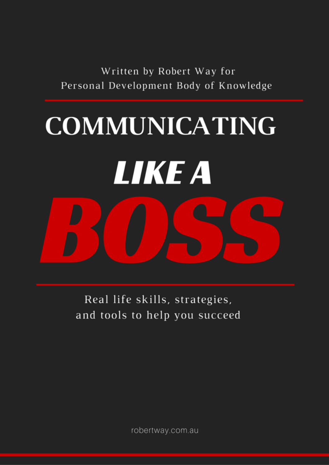Written by Robert Way for Personal Development Body of Knowledge

# **COMMUNICATING LIKE A**

Real life skills, strategies, and tools to help you succeed

robertway.com.au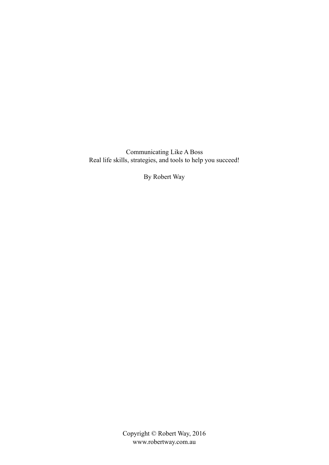Communicating Like A Boss Real life skills, strategies, and tools to help you succeed!

By Robert Way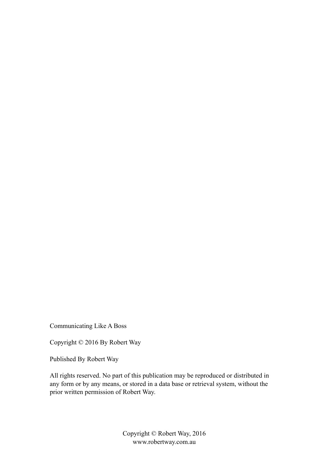Communicating Like A Boss

Copyright © 2016 By Robert Way

Published By Robert Way

All rights reserved. No part of this publication may be reproduced or distributed in any form or by any means, or stored in a data base or retrieval system, without the prior written permission of Robert Way.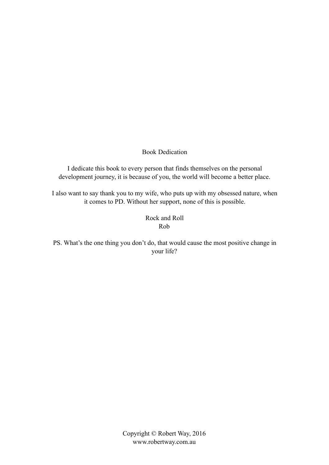Book Dedication

I dedicate this book to every person that finds themselves on the personal development journey, it is because of you, the world will become a better place.

I also want to say thank you to my wife, who puts up with my obsessed nature, when it comes to PD. Without her support, none of this is possible.

> Rock and Roll Rob

PS. What's the one thing you don't do, that would cause the most positive change in your life?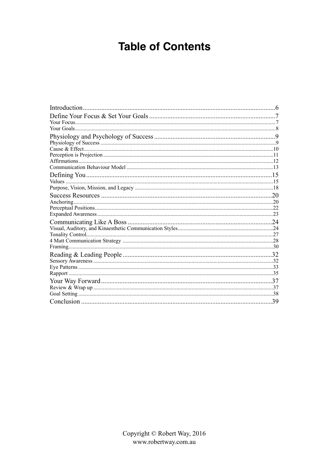# **Table of Contents**

| .39 |
|-----|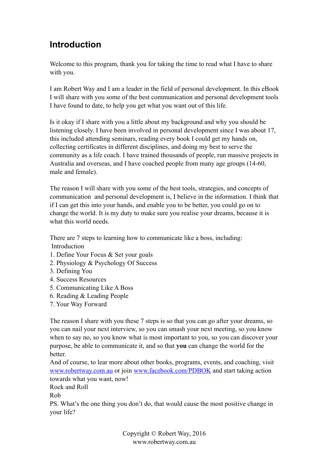## **Introduction**

Welcome to this program, thank you for taking the time to read what I have to share with you.

I am Robert Way and I am a leader in the field of personal development. In this eBook I will share with you some of the best communication and personal development tools I have found to date, to help you get what you want out of this life.

Is it okay if I share with you a little about my background and why you should be listening closely. I have been involved in personal development since I was about 17, this included attending seminars, reading every book I could get my hands on, collecting certificates in different disciplines, and doing my best to serve the community as a life coach. I have trained thousands of people, run massive projects in Australia and overseas, and I have coached people from many age groups (14-60, male and female).

The reason I will share with you some of the best tools, strategies, and concepts of communication and personal development is, I believe in the information. I think that if I can get this into your hands, and enable you to be better, you could go on to change the world. It is my duty to make sure you realise your dreams, because it is what this world needs.

There are 7 steps to learning how to communicate like a boss, including: Introduction

- 1. Define Your Focus & Set your goals
- 2. Physiology & Psychology Of Success
- 3. Defining You
- 4. Success Resources
- 5. Communicating Like A Boss
- 6. Reading & Leading People
- 7. Your Way Forward

The reason I share with you these 7 steps is so that you can go after your dreams, so you can nail your next interview, so you can smash your next meeting, so you know when to say no, so you know what is most important to you, so you can discover your purpose, be able to communicate it, and so that **you** can change the world for the **better** 

And of course, to lear more about other books, programs, events, and coaching, visit [www.robertway.com.au](http://www.robertway.com.au) or join [www.facebook.com/PDBOK](http://www.facebook.com/PDBOK) and start taking action towards what you want, now!

Rock and Roll

Rob

PS. What's the one thing you don't do, that would cause the most positive change in your life?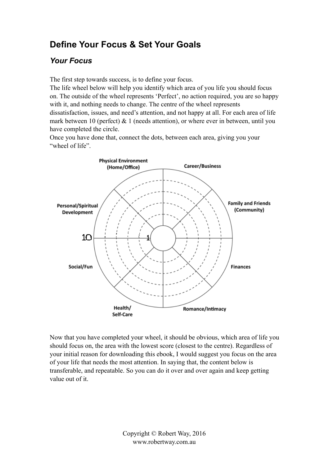# **Define Your Focus & Set Your Goals**

#### *Your Focus*

The first step towards success, is to define your focus.

The life wheel below will help you identify which area of you life you should focus on. The outside of the wheel represents 'Perfect', no action required, you are so happy with it, and nothing needs to change. The centre of the wheel represents dissatisfaction, issues, and need's attention, and not happy at all. For each area of life mark between 10 (perfect)  $\&$  1 (needs attention), or where ever in between, until you have completed the circle.

Once you have done that, connect the dots, between each area, giving you your "wheel of life"



Now that you have completed your wheel, it should be obvious, which area of life you should focus on, the area with the lowest score (closest to the centre). Regardless of your initial reason for downloading this ebook, I would suggest you focus on the area of your life that needs the most attention. In saying that, the content below is transferable, and repeatable. So you can do it over and over again and keep getting value out of it.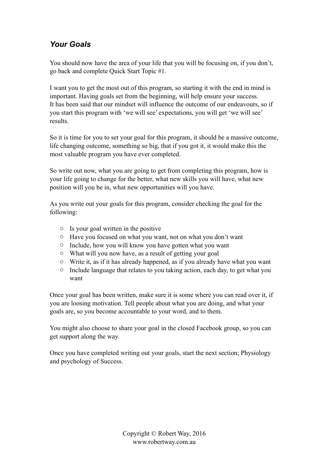## *Your Goals*

You should now have the area of your life that you will be focusing on, if you don't, go back and complete Quick Start Topic #1.

I want you to get the most out of this program, so starting it with the end in mind is important. Having goals set from the beginning, will help ensure your success. It has been said that our mindset will influence the outcome of our endeavours, so if you start this program with 'we will see' expectations, you will get 'we will see' results.

So it is time for you to set your goal for this program, it should be a massive outcome, life changing outcome, something so big, that if you got it, it would make this the most valuable program you have ever completed.

So write out now, what you are going to get from completing this program, how is your life going to change for the better, what new skills you will have, what new position will you be in, what new opportunities will you have.

As you write out your goals for this program, consider checking the goal for the following:

- o Is your goal written in the positive
- o Have you focused on what you want, not on what you don't want
- o Include, how you will know you have gotten what you want
- o What will you now have, as a result of getting your goal
- o Write it, as if it has already happened, as if you already have what you want
- o Include language that relates to you taking action, each day, to get what you want

Once your goal has been written, make sure it is some where you can read over it, if you are loosing motivation. Tell people about what you are doing, and what your goals are, so you become accountable to your word, and to them.

You might also choose to share your goal in the closed Facebook group, so you can get support along the way.

Once you have completed writing out your goals, start the next section; Physiology and psychology of Success.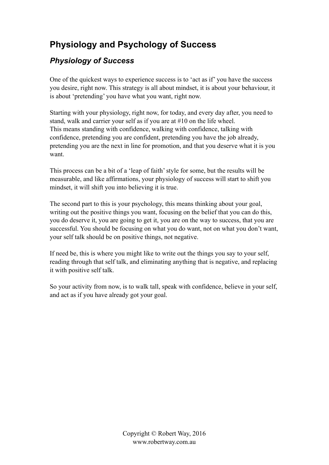# **Physiology and Psychology of Success**

## *Physiology of Success*

One of the quickest ways to experience success is to 'act as if' you have the success you desire, right now. This strategy is all about mindset, it is about your behaviour, it is about 'pretending' you have what you want, right now.

Starting with your physiology, right now, for today, and every day after, you need to stand, walk and carrier your self as if you are at #10 on the life wheel. This means standing with confidence, walking with confidence, talking with confidence, pretending you are confident, pretending you have the job already, pretending you are the next in line for promotion, and that you deserve what it is you want.

This process can be a bit of a 'leap of faith' style for some, but the results will be measurable, and like affirmations, your physiology of success will start to shift you mindset, it will shift you into believing it is true.

The second part to this is your psychology, this means thinking about your goal, writing out the positive things you want, focusing on the belief that you can do this, you do deserve it, you are going to get it, you are on the way to success, that you are successful. You should be focusing on what you do want, not on what you don't want, your self talk should be on positive things, not negative.

If need be, this is where you might like to write out the things you say to your self, reading through that self talk, and eliminating anything that is negative, and replacing it with positive self talk.

So your activity from now, is to walk tall, speak with confidence, believe in your self, and act as if you have already got your goal.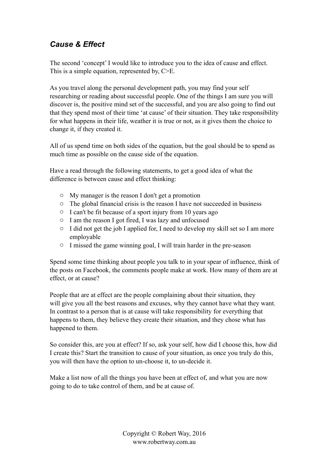## *Cause & Effect*

The second 'concept' I would like to introduce you to the idea of cause and effect. This is a simple equation, represented by, C  $\geq$  E.

As you travel along the personal development path, you may find your self researching or reading about successful people. One of the things I am sure you will discover is, the positive mind set of the successful, and you are also going to find out that they spend most of their time 'at cause' of their situation. They take responsibility for what happens in their life, weather it is true or not, as it gives them the choice to change it, if they created it.

All of us spend time on both sides of the equation, but the goal should be to spend as much time as possible on the cause side of the equation.

Have a read through the following statements, to get a good idea of what the difference is between cause and effect thinking:

- o My manager is the reason I don't get a promotion
- o The global financial crisis is the reason I have not succeeded in business
- o I can't be fit because of a sport injury from 10 years ago
- o I am the reason I got fired, I was lazy and unfocused
- o I did not get the job I applied for, I need to develop my skill set so I am more employable
- o I missed the game winning goal, I will train harder in the pre-season

Spend some time thinking about people you talk to in your spear of influence, think of the posts on Facebook, the comments people make at work. How many of them are at effect, or at cause?

People that are at effect are the people complaining about their situation, they will give you all the best reasons and excuses, why they cannot have what they want. In contrast to a person that is at cause will take responsibility for everything that happens to them, they believe they create their situation, and they chose what has happened to them.

So consider this, are you at effect? If so, ask your self, how did I choose this, how did I create this? Start the transition to cause of your situation, as once you truly do this, you will then have the option to un-choose it, to un-decide it.

Make a list now of all the things you have been at effect of, and what you are now going to do to take control of them, and be at cause of.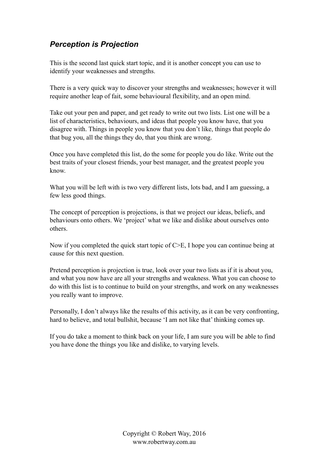#### *Perception is Projection*

This is the second last quick start topic, and it is another concept you can use to identify your weaknesses and strengths.

There is a very quick way to discover your strengths and weaknesses; however it will require another leap of fait, some behavioural flexibility, and an open mind.

Take out your pen and paper, and get ready to write out two lists. List one will be a list of characteristics, behaviours, and ideas that people you know have, that you disagree with. Things in people you know that you don't like, things that people do that bug you, all the things they do, that you think are wrong.

Once you have completed this list, do the some for people you do like. Write out the best traits of your closest friends, your best manager, and the greatest people you know.

What you will be left with is two very different lists, lots bad, and I am guessing, a few less good things.

The concept of perception is projections, is that we project our ideas, beliefs, and behaviours onto others. We 'project' what we like and dislike about ourselves onto others.

Now if you completed the quick start topic of C>E, I hope you can continue being at cause for this next question.

Pretend perception is projection is true, look over your two lists as if it is about you, and what you now have are all your strengths and weakness. What you can choose to do with this list is to continue to build on your strengths, and work on any weaknesses you really want to improve.

Personally, I don't always like the results of this activity, as it can be very confronting, hard to believe, and total bullshit, because 'I am not like that' thinking comes up.

If you do take a moment to think back on your life, I am sure you will be able to find you have done the things you like and dislike, to varying levels.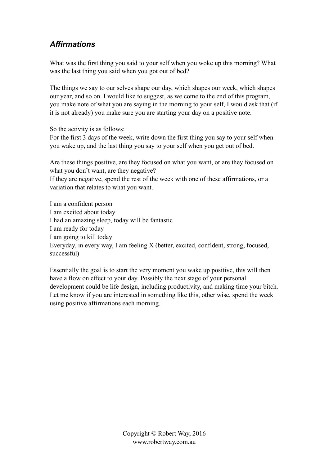## *Affirmations*

What was the first thing you said to your self when you woke up this morning? What was the last thing you said when you got out of bed?

The things we say to our selves shape our day, which shapes our week, which shapes our year, and so on. I would like to suggest, as we come to the end of this program, you make note of what you are saying in the morning to your self, I would ask that (if it is not already) you make sure you are starting your day on a positive note.

So the activity is as follows:

For the first 3 days of the week, write down the first thing you say to your self when you wake up, and the last thing you say to your self when you get out of bed.

Are these things positive, are they focused on what you want, or are they focused on what you don't want, are they negative?

If they are negative, spend the rest of the week with one of these affirmations, or a variation that relates to what you want.

I am a confident person I am excited about today I had an amazing sleep, today will be fantastic I am ready for today I am going to kill today Everyday, in every way, I am feeling X (better, excited, confident, strong, focused, successful)

Essentially the goal is to start the very moment you wake up positive, this will then have a flow on effect to your day. Possibly the next stage of your personal development could be life design, including productivity, and making time your bitch. Let me know if you are interested in something like this, other wise, spend the week using positive affirmations each morning.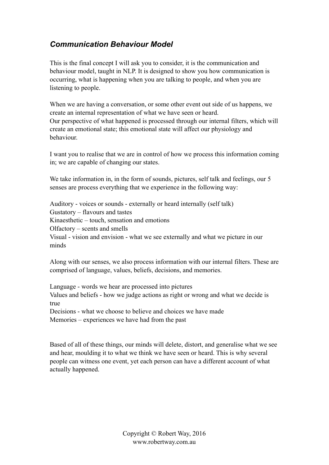#### *Communication Behaviour Model*

This is the final concept I will ask you to consider, it is the communication and behaviour model, taught in NLP. It is designed to show you how communication is occurring, what is happening when you are talking to people, and when you are listening to people.

When we are having a conversation, or some other event out side of us happens, we create an internal representation of what we have seen or heard. Our perspective of what happened is processed through our internal filters, which will create an emotional state; this emotional state will affect our physiology and behaviour.

I want you to realise that we are in control of how we process this information coming in; we are capable of changing our states.

We take information in, in the form of sounds, pictures, self talk and feelings, our 5 senses are process everything that we experience in the following way:

Auditory - voices or sounds - externally or heard internally (self talk) Gustatory – flavours and tastes Kinaesthetic – touch, sensation and emotions Olfactory – scents and smells Visual - vision and envision - what we see externally and what we picture in our minds

Along with our senses, we also process information with our internal filters. These are comprised of language, values, beliefs, decisions, and memories.

Language - words we hear are processed into pictures Values and beliefs - how we judge actions as right or wrong and what we decide is true Decisions - what we choose to believe and choices we have made

Memories – experiences we have had from the past

Based of all of these things, our minds will delete, distort, and generalise what we see and hear, moulding it to what we think we have seen or heard. This is why several people can witness one event, yet each person can have a different account of what actually happened.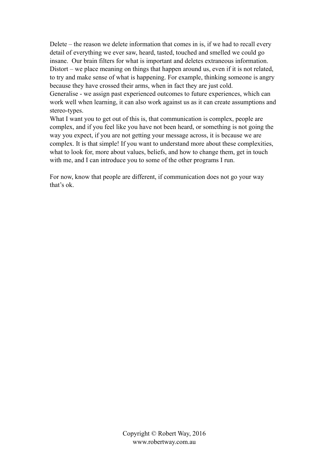Delete – the reason we delete information that comes in is, if we had to recall every detail of everything we ever saw, heard, tasted, touched and smelled we could go insane. Our brain filters for what is important and deletes extraneous information. Distort – we place meaning on things that happen around us, even if it is not related, to try and make sense of what is happening. For example, thinking someone is angry because they have crossed their arms, when in fact they are just cold. Generalise - we assign past experienced outcomes to future experiences, which can work well when learning, it can also work against us as it can create assumptions and stereo-types.

What I want you to get out of this is, that communication is complex, people are complex, and if you feel like you have not been heard, or something is not going the way you expect, if you are not getting your message across, it is because we are complex. It is that simple! If you want to understand more about these complexities, what to look for, more about values, beliefs, and how to change them, get in touch with me, and I can introduce you to some of the other programs I run.

For now, know that people are different, if communication does not go your way that's ok.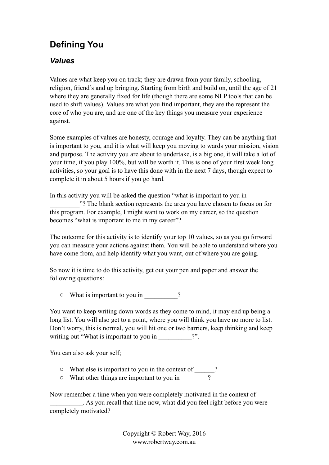# **Defining You**

#### *Values*

Values are what keep you on track; they are drawn from your family, schooling, religion, friend's and up bringing. Starting from birth and build on, until the age of 21 where they are generally fixed for life (though there are some NLP tools that can be used to shift values). Values are what you find important, they are the represent the core of who you are, and are one of the key things you measure your experience against.

Some examples of values are honesty, courage and loyalty. They can be anything that is important to you, and it is what will keep you moving to wards your mission, vision and purpose. The activity you are about to undertake, is a big one, it will take a lot of your time, if you play 100%, but will be worth it. This is one of your first week long activities, so your goal is to have this done with in the next 7 days, though expect to complete it in about 5 hours if you go hard.

In this activity you will be asked the question "what is important to you in \_\_\_\_\_\_\_\_\_"? The blank section represents the area you have chosen to focus on for this program. For example, I might want to work on my career, so the question becomes "what is important to me in my career"?

The outcome for this activity is to identify your top 10 values, so as you go forward you can measure your actions against them. You will be able to understand where you have come from, and help identify what you want, out of where you are going.

So now it is time to do this activity, get out your pen and paper and answer the following questions:

 $\circ$  What is important to you in \_\_\_\_\_\_\_\_\_\_?

You want to keep writing down words as they come to mind, it may end up being a long list. You will also get to a point, where you will think you have no more to list. Don't worry, this is normal, you will hit one or two barriers, keep thinking and keep writing out "What is important to you in  $\cdots$  ?".

You can also ask your self;

- o What else is important to you in the context of \_\_\_\_\_\_?
- o What other things are important to you in \_\_\_\_\_\_\_\_?

Now remember a time when you were completely motivated in the context of \_\_\_\_\_\_\_\_\_\_. As you recall that time now, what did you feel right before you were completely motivated?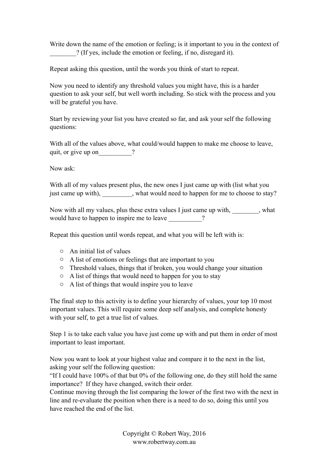Write down the name of the emotion or feeling; is it important to you in the context of \_\_\_\_\_\_\_\_? (If yes, include the emotion or feeling, if no, disregard it).

Repeat asking this question, until the words you think of start to repeat.

Now you need to identify any threshold values you might have, this is a harder question to ask your self, but well worth including. So stick with the process and you will be grateful you have.

Start by reviewing your list you have created so far, and ask your self the following questions:

With all of the values above, what could/would happen to make me choose to leave, quit, or give up on  $\qquad$  ?

Now ask:

With all of my values present plus, the new ones I just came up with (list what you just came up with), what would need to happen for me to choose to stay?

Now with all my values, plus these extra values I just came up with, what would have to happen to inspire me to leave  $\frac{1}{2}$ ?

Repeat this question until words repeat, and what you will be left with is:

- o An initial list of values
- o A list of emotions or feelings that are important to you
- o Threshold values, things that if broken, you would change your situation
- o A list of things that would need to happen for you to stay
- o A list of things that would inspire you to leave

The final step to this activity is to define your hierarchy of values, your top 10 most important values. This will require some deep self analysis, and complete honesty with your self, to get a true list of values.

Step 1 is to take each value you have just come up with and put them in order of most important to least important.

Now you want to look at your highest value and compare it to the next in the list, asking your self the following question:

"If I could have 100% of that but 0% of the following one, do they still hold the same importance? If they have changed, switch their order.

Continue moving through the list comparing the lower of the first two with the next in line and re-evaluate the position when there is a need to do so, doing this until you have reached the end of the list.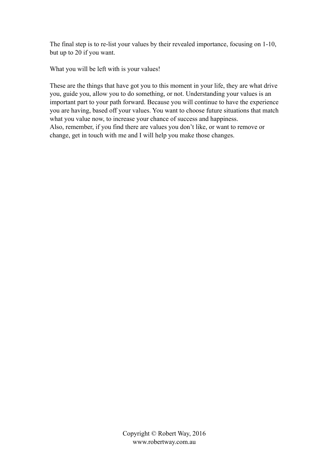The final step is to re-list your values by their revealed importance, focusing on 1-10, but up to 20 if you want.

What you will be left with is your values!

These are the things that have got you to this moment in your life, they are what drive you, guide you, allow you to do something, or not. Understanding your values is an important part to your path forward. Because you will continue to have the experience you are having, based off your values. You want to choose future situations that match what you value now, to increase your chance of success and happiness. Also, remember, if you find there are values you don't like, or want to remove or change, get in touch with me and I will help you make those changes.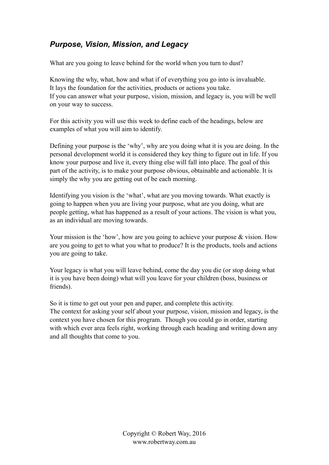#### *Purpose, Vision, Mission, and Legacy*

What are you going to leave behind for the world when you turn to dust?

Knowing the why, what, how and what if of everything you go into is invaluable. It lays the foundation for the activities, products or actions you take. If you can answer what your purpose, vision, mission, and legacy is, you will be well on your way to success.

For this activity you will use this week to define each of the headings, below are examples of what you will aim to identify.

Defining your purpose is the 'why', why are you doing what it is you are doing. In the personal development world it is considered they key thing to figure out in life. If you know your purpose and live it, every thing else will fall into place. The goal of this part of the activity, is to make your purpose obvious, obtainable and actionable. It is simply the why you are getting out of be each morning.

Identifying you vision is the 'what', what are you moving towards. What exactly is going to happen when you are living your purpose, what are you doing, what are people getting, what has happened as a result of your actions. The vision is what you, as an individual are moving towards.

Your mission is the 'how', how are you going to achieve your purpose & vision. How are you going to get to what you what to produce? It is the products, tools and actions you are going to take.

Your legacy is what you will leave behind, come the day you die (or stop doing what it is you have been doing) what will you leave for your children (boss, business or friends).

So it is time to get out your pen and paper, and complete this activity. The context for asking your self about your purpose, vision, mission and legacy, is the context you have chosen for this program. Though you could go in order, starting with which ever area feels right, working through each heading and writing down any and all thoughts that come to you.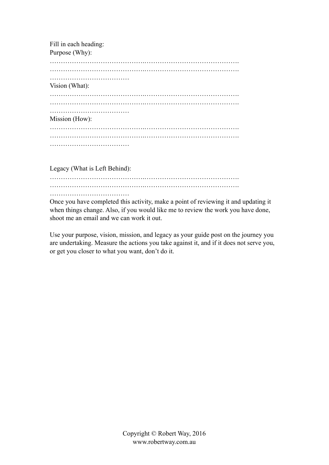| Fill in each heading: |  |
|-----------------------|--|
| Purpose (Why):        |  |
|                       |  |
|                       |  |
|                       |  |
|                       |  |
| Vision (What):        |  |
|                       |  |
|                       |  |
|                       |  |
| Mission (How):        |  |
|                       |  |
|                       |  |
|                       |  |
|                       |  |
|                       |  |

Legacy (What is Left Behind):

…………………………………….……………………………………. …………………………………….…………………………………….

………………………………

Once you have completed this activity, make a point of reviewing it and updating it when things change. Also, if you would like me to review the work you have done, shoot me an email and we can work it out.

Use your purpose, vision, mission, and legacy as your guide post on the journey you are undertaking. Measure the actions you take against it, and if it does not serve you, or get you closer to what you want, don't do it.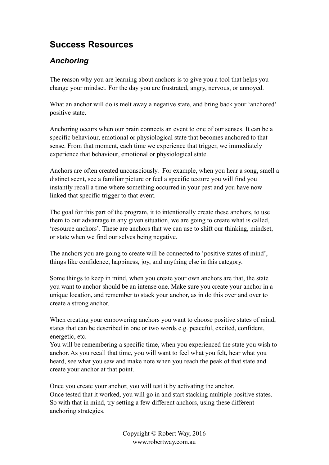## **Success Resources**

#### *Anchoring*

The reason why you are learning about anchors is to give you a tool that helps you change your mindset. For the day you are frustrated, angry, nervous, or annoyed.

What an anchor will do is melt away a negative state, and bring back your 'anchored' positive state.

Anchoring occurs when our brain connects an event to one of our senses. It can be a specific behaviour, emotional or physiological state that becomes anchored to that sense. From that moment, each time we experience that trigger, we immediately experience that behaviour, emotional or physiological state.

Anchors are often created unconsciously. For example, when you hear a song, smell a distinct scent, see a familiar picture or feel a specific texture you will find you instantly recall a time where something occurred in your past and you have now linked that specific trigger to that event.

The goal for this part of the program, it to intentionally create these anchors, to use them to our advantage in any given situation, we are going to create what is called, 'resource anchors'. These are anchors that we can use to shift our thinking, mindset, or state when we find our selves being negative.

The anchors you are going to create will be connected to 'positive states of mind', things like confidence, happiness, joy, and anything else in this category.

Some things to keep in mind, when you create your own anchors are that, the state you want to anchor should be an intense one. Make sure you create your anchor in a unique location, and remember to stack your anchor, as in do this over and over to create a strong anchor.

When creating your empowering anchors you want to choose positive states of mind, states that can be described in one or two words e.g. peaceful, excited, confident, energetic, etc.

You will be remembering a specific time, when you experienced the state you wish to anchor. As you recall that time, you will want to feel what you felt, hear what you heard, see what you saw and make note when you reach the peak of that state and create your anchor at that point.

Once you create your anchor, you will test it by activating the anchor. Once tested that it worked, you will go in and start stacking multiple positive states. So with that in mind, try setting a few different anchors, using these different anchoring strategies.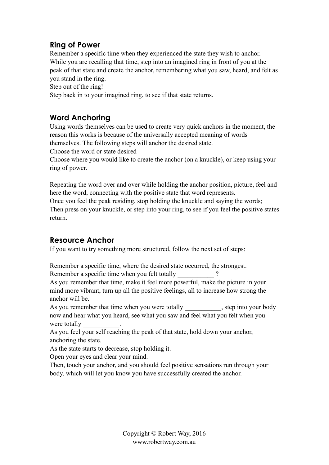#### **Ring of Power**

Remember a specific time when they experienced the state they wish to anchor. While you are recalling that time, step into an imagined ring in front of you at the peak of that state and create the anchor, remembering what you saw, heard, and felt as you stand in the ring.

Step out of the ring!

Step back in to your imagined ring, to see if that state returns.

#### **Word Anchoring**

Using words themselves can be used to create very quick anchors in the moment, the reason this works is because of the universally accepted meaning of words themselves. The following steps will anchor the desired state.

Choose the word or state desired

Choose where you would like to create the anchor (on a knuckle), or keep using your ring of power.

Repeating the word over and over while holding the anchor position, picture, feel and here the word, connecting with the positive state that word represents.

Once you feel the peak residing, stop holding the knuckle and saying the words; Then press on your knuckle, or step into your ring, to see if you feel the positive states return.

#### **Resource Anchor**

If you want to try something more structured, follow the next set of steps:

Remember a specific time, where the desired state occurred, the strongest. Remember a specific time when you felt totally

As you remember that time, make it feel more powerful, make the picture in your mind more vibrant, turn up all the positive feelings, all to increase how strong the anchor will be.

As you remember that time when you were totally step into your body now and hear what you heard, see what you saw and feel what you felt when you were totally

As you feel your self reaching the peak of that state, hold down your anchor, anchoring the state.

As the state starts to decrease, stop holding it.

Open your eyes and clear your mind.

Then, touch your anchor, and you should feel positive sensations run through your body, which will let you know you have successfully created the anchor.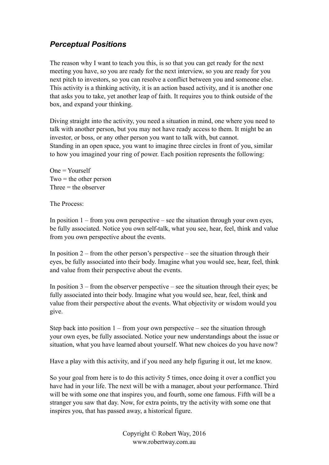#### *Perceptual Positions*

The reason why I want to teach you this, is so that you can get ready for the next meeting you have, so you are ready for the next interview, so you are ready for you next pitch to investors, so you can resolve a conflict between you and someone else. This activity is a thinking activity, it is an action based activity, and it is another one that asks you to take, yet another leap of faith. It requires you to think outside of the box, and expand your thinking.

Diving straight into the activity, you need a situation in mind, one where you need to talk with another person, but you may not have ready access to them. It might be an investor, or boss, or any other person you want to talk with, but cannot. Standing in an open space, you want to imagine three circles in front of you, similar to how you imagined your ring of power. Each position represents the following:

One = Yourself  $Two =$  the other person Three  $=$  the observer

The Process:

In position  $1 -$  from you own perspective – see the situation through your own eyes, be fully associated. Notice you own self-talk, what you see, hear, feel, think and value from you own perspective about the events.

In position  $2$  – from the other person's perspective – see the situation through their eyes, be fully associated into their body. Imagine what you would see, hear, feel, think and value from their perspective about the events.

In position  $3$  – from the observer perspective – see the situation through their eyes; be fully associated into their body. Imagine what you would see, hear, feel, think and value from their perspective about the events. What objectivity or wisdom would you give.

Step back into position  $1 -$  from your own perspective – see the situation through your own eyes, be fully associated. Notice your new understandings about the issue or situation, what you have learned about yourself. What new choices do you have now?

Have a play with this activity, and if you need any help figuring it out, let me know.

So your goal from here is to do this activity 5 times, once doing it over a conflict you have had in your life. The next will be with a manager, about your performance. Third will be with some one that inspires you, and fourth, some one famous. Fifth will be a stranger you saw that day. Now, for extra points, try the activity with some one that inspires you, that has passed away, a historical figure.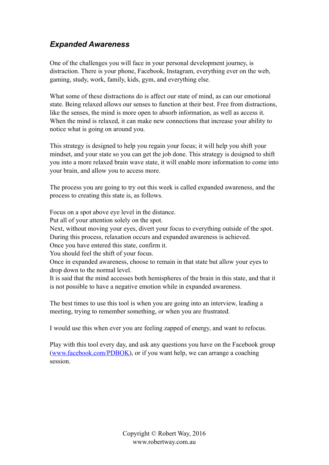#### *Expanded Awareness*

One of the challenges you will face in your personal development journey, is distraction. There is your phone, Facebook, Instagram, everything ever on the web, gaming, study, work, family, kids, gym, and everything else.

What some of these distractions do is affect our state of mind, as can our emotional state. Being relaxed allows our senses to function at their best. Free from distractions, like the senses, the mind is more open to absorb information, as well as access it. When the mind is relaxed, it can make new connections that increase your ability to notice what is going on around you.

This strategy is designed to help you regain your focus; it will help you shift your mindset, and your state so you can get the job done. This strategy is designed to shift you into a more relaxed brain wave state, it will enable more information to come into your brain, and allow you to access more.

The process you are going to try out this week is called expanded awareness, and the process to creating this state is, as follows.

Focus on a spot above eye level in the distance.

Put all of your attention solely on the spot.

Next, without moving your eyes, divert your focus to everything outside of the spot.

During this process, relaxation occurs and expanded awareness is achieved.

Once you have entered this state, confirm it.

You should feel the shift of your focus.

Once in expanded awareness, choose to remain in that state but allow your eyes to drop down to the normal level.

It is said that the mind accesses both hemispheres of the brain in this state, and that it is not possible to have a negative emotion while in expanded awareness.

The best times to use this tool is when you are going into an interview, leading a meeting, trying to remember something, or when you are frustrated.

I would use this when ever you are feeling zapped of energy, and want to refocus.

Play with this tool every day, and ask any questions you have on the Facebook group ([www.facebook.com/PDBOK\)](http://www.facebook.com/PDBOK), or if you want help, we can arrange a coaching session.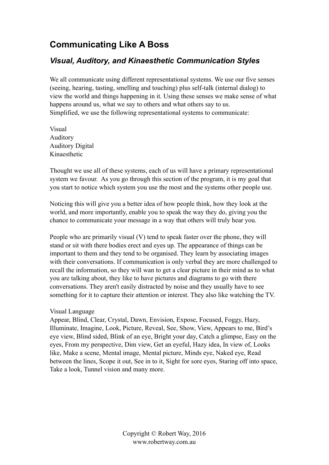## **Communicating Like A Boss**

#### *Visual, Auditory, and Kinaesthetic Communication Styles*

We all communicate using different representational systems. We use our five senses (seeing, hearing, tasting, smelling and touching) plus self-talk (internal dialog) to view the world and things happening in it. Using these senses we make sense of what happens around us, what we say to others and what others say to us. Simplified, we use the following representational systems to communicate:

Visual Auditory Auditory Digital Kinaesthetic

Thought we use all of these systems, each of us will have a primary representational system we favour. As you go through this section of the program, it is my goal that you start to notice which system you use the most and the systems other people use.

Noticing this will give you a better idea of how people think, how they look at the world, and more importantly, enable you to speak the way they do, giving you the chance to communicate your message in a way that others will truly hear you.

People who are primarily visual (V) tend to speak faster over the phone, they will stand or sit with there bodies erect and eyes up. The appearance of things can be important to them and they tend to be organised. They learn by associating images with their conversations. If communication is only verbal they are more challenged to recall the information, so they will wan to get a clear picture in their mind as to what you are talking about, they like to have pictures and diagrams to go with there conversations. They aren't easily distracted by noise and they usually have to see something for it to capture their attention or interest. They also like watching the TV.

#### Visual Language

Appear, Blind, Clear, Crystal, Dawn, Envision, Expose, Focused, Foggy, Hazy, Illuminate, Imagine, Look, Picture, Reveal, See, Show, View, Appears to me, Bird's eye view, Blind sided, Blink of an eye, Bright your day, Catch a glimpse, Easy on the eyes, From my perspective, Dim view, Get an eyeful, Hazy idea, In view of, Looks like, Make a scene, Mental image, Mental picture, Minds eye, Naked eye, Read between the lines, Scope it out, See in to it, Sight for sore eyes, Staring off into space, Take a look, Tunnel vision and many more.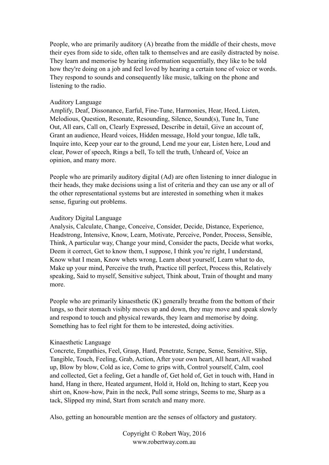People, who are primarily auditory (A) breathe from the middle of their chests, move their eyes from side to side, often talk to themselves and are easily distracted by noise. They learn and memorise by hearing information sequentially, they like to be told how they're doing on a job and feel loved by hearing a certain tone of voice or words. They respond to sounds and consequently like music, talking on the phone and listening to the radio.

#### Auditory Language

Amplify, Deaf, Dissonance, Earful, Fine-Tune, Harmonies, Hear, Heed, Listen, Melodious, Question, Resonate, Resounding, Silence, Sound(s), Tune In, Tune Out, All ears, Call on, Clearly Expressed, Describe in detail, Give an account of, Grant an audience, Heard voices, Hidden message, Hold your tongue, Idle talk, Inquire into, Keep your ear to the ground, Lend me your ear, Listen here, Loud and clear, Power of speech, Rings a bell, To tell the truth, Unheard of, Voice an opinion, and many more.

People who are primarily auditory digital (Ad) are often listening to inner dialogue in their heads, they make decisions using a list of criteria and they can use any or all of the other representational systems but are interested in something when it makes sense, figuring out problems.

#### Auditory Digital Language

Analysis, Calculate, Change, Conceive, Consider, Decide, Distance, Experience, Headstrong, Intensive, Know, Learn, Motivate, Perceive, Ponder, Process, Sensible, Think, A particular way, Change your mind, Consider the pacts, Decide what works, Deem it correct, Get to know them, I suppose, I think you're right, I understand, Know what I mean, Know whets wrong, Learn about yourself, Learn what to do, Make up your mind, Perceive the truth, Practice till perfect, Process this, Relatively speaking, Said to myself, Sensitive subject, Think about, Train of thought and many more.

People who are primarily kinaesthetic (K) generally breathe from the bottom of their lungs, so their stomach visibly moves up and down, they may move and speak slowly and respond to touch and physical rewards, they learn and memorise by doing. Something has to feel right for them to be interested, doing activities.

#### Kinaesthetic Language

Concrete, Empathies, Feel, Grasp, Hard, Penetrate, Scrape, Sense, Sensitive, Slip, Tangible, Touch, Feeling, Grab, Action, After your own heart, All heart, All washed up, Blow by blow, Cold as ice, Come to grips with, Control yourself, Calm, cool and collected, Get a feeling, Get a handle of, Get hold of, Get in touch with, Hand in hand, Hang in there, Heated argument, Hold it, Hold on, Itching to start, Keep you shirt on, Know-how, Pain in the neck, Pull some strings, Seems to me, Sharp as a tack, Slipped my mind, Start from scratch and many more.

Also, getting an honourable mention are the senses of olfactory and gustatory.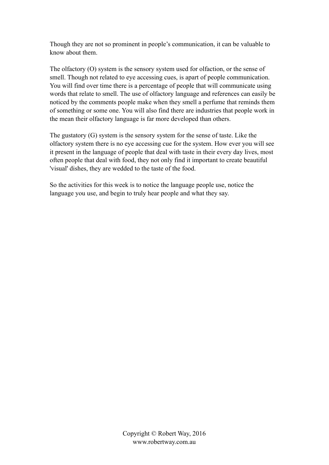Though they are not so prominent in people's communication, it can be valuable to know about them.

The olfactory (O) system is the sensory system used for olfaction, or the sense of smell. Though not related to eye accessing cues, is apart of people communication. You will find over time there is a percentage of people that will communicate using words that relate to smell. The use of olfactory language and references can easily be noticed by the comments people make when they smell a perfume that reminds them of something or some one. You will also find there are industries that people work in the mean their olfactory language is far more developed than others.

The gustatory (G) system is the sensory system for the sense of taste. Like the olfactory system there is no eye accessing cue for the system. How ever you will see it present in the language of people that deal with taste in their every day lives, most often people that deal with food, they not only find it important to create beautiful 'visual' dishes, they are wedded to the taste of the food.

So the activities for this week is to notice the language people use, notice the language you use, and begin to truly hear people and what they say.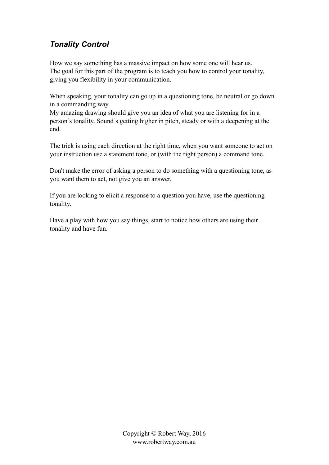## *Tonality Control*

How we say something has a massive impact on how some one will hear us. The goal for this part of the program is to teach you how to control your tonality, giving you flexibility in your communication.

When speaking, your tonality can go up in a questioning tone, be neutral or go down in a commanding way.

My amazing drawing should give you an idea of what you are listening for in a person's tonality. Sound's getting higher in pitch, steady or with a deepening at the end.

The trick is using each direction at the right time, when you want someone to act on your instruction use a statement tone, or (with the right person) a command tone.

Don't make the error of asking a person to do something with a questioning tone, as you want them to act, not give you an answer.

If you are looking to elicit a response to a question you have, use the questioning tonality.

Have a play with how you say things, start to notice how others are using their tonality and have fun.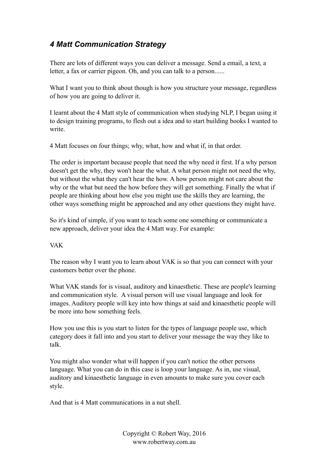## *4 Matt Communication Strategy*

There are lots of different ways you can deliver a message. Send a email, a text, a letter, a fax or carrier pigeon. Oh, and you can talk to a person......

What I want you to think about though is how you structure your message, regardless of how you are going to deliver it.

I learnt about the 4 Matt style of communication when studying NLP, I began using it to design training programs, to flesh out a idea and to start building books I wanted to write.

4 Matt focuses on four things; why, what, how and what if, in that order.

The order is important because people that need the why need it first. If a why person doesn't get the why, they won't hear the what. A what person might not need the why, but without the what they can't hear the how. A how person might not care about the why or the what but need the how before they will get something. Finally the what if people are thinking about how else you might use the skills they are learning, the other ways something might be approached and any other questions they might have.

So it's kind of simple, if you want to teach some one something or communicate a new approach, deliver your idea the 4 Matt way. For example:

#### VAK

The reason why I want you to learn about VAK is so that you can connect with your customers better over the phone.

What VAK stands for is visual, auditory and kinaesthetic. These are people's learning and communication style. A visual person will use visual language and look for images. Auditory people will key into how things at said and kinaesthetic people will be more into how something feels.

How you use this is you start to listen for the types of language people use, which category does it fall into and you start to deliver your message the way they like to talk.

You might also wonder what will happen if you can't notice the other persons language. What you can do in this case is loop your language. As in, use visual, auditory and kinaesthetic language in even amounts to make sure you cover each style.

And that is 4 Matt communications in a nut shell.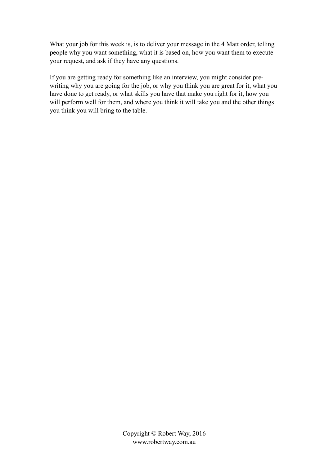What your job for this week is, is to deliver your message in the 4 Matt order, telling people why you want something, what it is based on, how you want them to execute your request, and ask if they have any questions.

If you are getting ready for something like an interview, you might consider prewriting why you are going for the job, or why you think you are great for it, what you have done to get ready, or what skills you have that make you right for it, how you will perform well for them, and where you think it will take you and the other things you think you will bring to the table.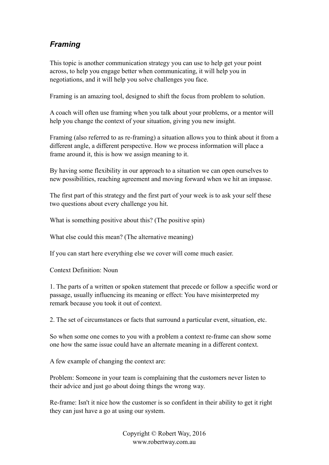## *Framing*

This topic is another communication strategy you can use to help get your point across, to help you engage better when communicating, it will help you in negotiations, and it will help you solve challenges you face.

Framing is an amazing tool, designed to shift the focus from problem to solution.

A coach will often use framing when you talk about your problems, or a mentor will help you change the context of your situation, giving you new insight.

Framing (also referred to as re-framing) a situation allows you to think about it from a different angle, a different perspective. How we process information will place a frame around it, this is how we assign meaning to it.

By having some flexibility in our approach to a situation we can open ourselves to new possibilities, reaching agreement and moving forward when we hit an impasse.

The first part of this strategy and the first part of your week is to ask your self these two questions about every challenge you hit.

What is something positive about this? (The positive spin)

What else could this mean? (The alternative meaning)

If you can start here everything else we cover will come much easier.

Context Definition: Noun

1. The parts of a written or spoken statement that precede or follow a specific word or passage, usually influencing its meaning or effect: You have misinterpreted my remark because you took it out of context.

2. The set of circumstances or facts that surround a particular event, situation, etc.

So when some one comes to you with a problem a context re-frame can show some one how the same issue could have an alternate meaning in a different context.

A few example of changing the context are:

Problem: Someone in your team is complaining that the customers never listen to their advice and just go about doing things the wrong way.

Re-frame: Isn't it nice how the customer is so confident in their ability to get it right they can just have a go at using our system.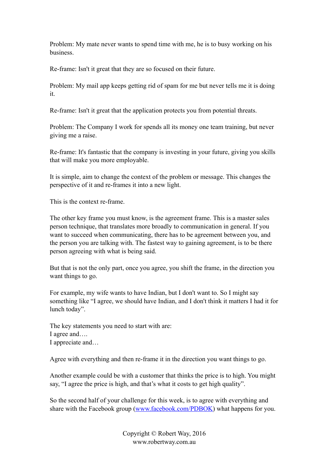Problem: My mate never wants to spend time with me, he is to busy working on his business.

Re-frame: Isn't it great that they are so focused on their future.

Problem: My mail app keeps getting rid of spam for me but never tells me it is doing it.

Re-frame: Isn't it great that the application protects you from potential threats.

Problem: The Company I work for spends all its money one team training, but never giving me a raise.

Re-frame: It's fantastic that the company is investing in your future, giving you skills that will make you more employable.

It is simple, aim to change the context of the problem or message. This changes the perspective of it and re-frames it into a new light.

This is the context re-frame.

The other key frame you must know, is the agreement frame. This is a master sales person technique, that translates more broadly to communication in general. If you want to succeed when communicating, there has to be agreement between you, and the person you are talking with. The fastest way to gaining agreement, is to be there person agreeing with what is being said.

But that is not the only part, once you agree, you shift the frame, in the direction you want things to go.

For example, my wife wants to have Indian, but I don't want to. So I might say something like "I agree, we should have Indian, and I don't think it matters I had it for lunch today".

The key statements you need to start with are: I agree and…. I appreciate and…

Agree with everything and then re-frame it in the direction you want things to go.

Another example could be with a customer that thinks the price is to high. You might say, "I agree the price is high, and that's what it costs to get high quality".

So the second half of your challenge for this week, is to agree with everything and share with the Facebook group ([www.facebook.com/PDBOK\)](http://www.facebook.com/PDBOK) what happens for you.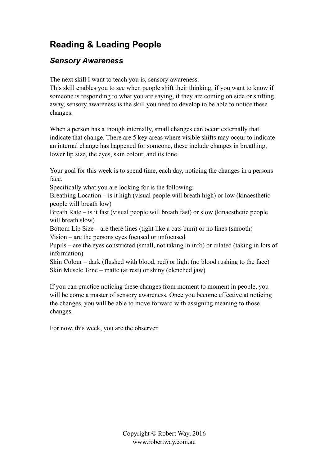# **Reading & Leading People**

#### *Sensory Awareness*

The next skill I want to teach you is, sensory awareness.

This skill enables you to see when people shift their thinking, if you want to know if someone is responding to what you are saying, if they are coming on side or shifting away, sensory awareness is the skill you need to develop to be able to notice these changes.

When a person has a though internally, small changes can occur externally that indicate that change. There are 5 key areas where visible shifts may occur to indicate an internal change has happened for someone, these include changes in breathing. lower lip size, the eyes, skin colour, and its tone.

Your goal for this week is to spend time, each day, noticing the changes in a persons face.

Specifically what you are looking for is the following:

Breathing Location – is it high (visual people will breath high) or low (kinaesthetic people will breath low)

Breath Rate – is it fast (visual people will breath fast) or slow (kinaesthetic people will breath slow)

Bottom Lip Size – are there lines (tight like a cats bum) or no lines (smooth) Vision – are the persons eyes focused or unfocused

Pupils – are the eyes constricted (small, not taking in info) or dilated (taking in lots of information)

Skin Colour – dark (flushed with blood, red) or light (no blood rushing to the face) Skin Muscle Tone – matte (at rest) or shiny (clenched jaw)

If you can practice noticing these changes from moment to moment in people, you will be come a master of sensory awareness. Once you become effective at noticing the changes, you will be able to move forward with assigning meaning to those changes.

For now, this week, you are the observer.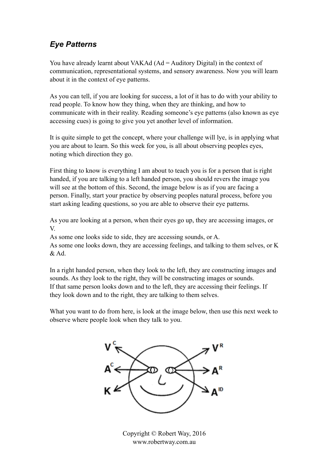#### *Eye Patterns*

You have already learnt about VAKAd (Ad = Auditory Digital) in the context of communication, representational systems, and sensory awareness. Now you will learn about it in the context of eye patterns.

As you can tell, if you are looking for success, a lot of it has to do with your ability to read people. To know how they thing, when they are thinking, and how to communicate with in their reality. Reading someone's eye patterns (also known as eye accessing cues) is going to give you yet another level of information.

It is quite simple to get the concept, where your challenge will lye, is in applying what you are about to learn. So this week for you, is all about observing peoples eyes, noting which direction they go.

First thing to know is everything I am about to teach you is for a person that is right handed, if you are talking to a left handed person, you should revers the image you will see at the bottom of this. Second, the image below is as if you are facing a person. Finally, start your practice by observing peoples natural process, before you start asking leading questions, so you are able to observe their eye patterns.

As you are looking at a person, when their eyes go up, they are accessing images, or V.

As some one looks side to side, they are accessing sounds, or A. As some one looks down, they are accessing feelings, and talking to them selves, or K & Ad.

In a right handed person, when they look to the left, they are constructing images and sounds. As they look to the right, they will be constructing images or sounds. If that same person looks down and to the left, they are accessing their feelings. If they look down and to the right, they are talking to them selves.

What you want to do from here, is look at the image below, then use this next week to observe where people look when they talk to you.

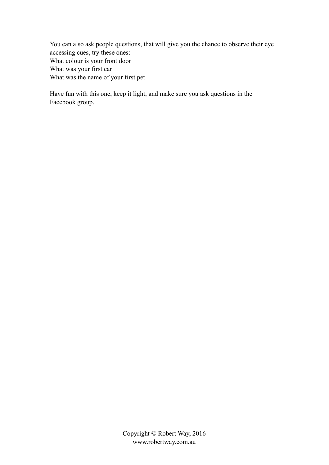You can also ask people questions, that will give you the chance to observe their eye accessing cues, try these ones: What colour is your front door What was your first car What was the name of your first pet

Have fun with this one, keep it light, and make sure you ask questions in the Facebook group.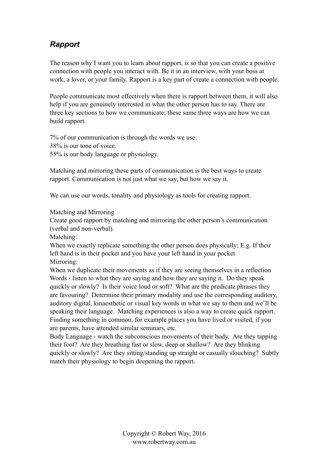#### *Rapport*

The reason why I want you to learn about rapport, is so that you can create a positive connection with people you interact with. Be it in an interview, with your boss at work, a lover, or your family. Rapport is a key part of create a connection with people.

People communicate most effectively when there is rapport between them, it will also help if you are genuinely interested in what the other person has to say. There are three key sections to how we communicate; these same three ways are how we can build rapport.

7% of our communication is through the words we use. 38% is our tone of voice. 55% is our body language or physiology.

Matching and mirroring these parts of communication is the best ways to create rapport. Communication is not just what we say, but how we say it.

We can use our words, tonality and physiology as tools for creating rapport.

Matching and Mirroring

Create good rapport by matching and mirroring the other person's communication (verbal and non-verbal).

Matching:

When we exactly replicate something the other person does physically; E.g. If their left hand is in their pocket and you have your left hand in your pocket Mirroring:

When we duplicate their movements as if they are seeing themselves in a reflection Words - listen to what they are saying and how they are saying it. Do they speak quickly or slowly? Is their voice loud or soft? What are the predicate phrases they are favouring? Determine their primary modality and use the corresponding auditory, auditory digital, kinaesthetic or visual key words in what we say to them and we'll be speaking their language. Matching experiences is also a way to create quick rapport. Finding something in common, for example places you have lived or visited, if you are parents, have attended similar seminars, etc.

Body Language - watch the subconscious movements of their body. Are they tapping their foot? Are they breathing fast or slow, deep or shallow? Are they blinking quickly or slowly? Are they sitting/standing up straight or casually slouching? Subtly match their physiology to begin deepening the rapport.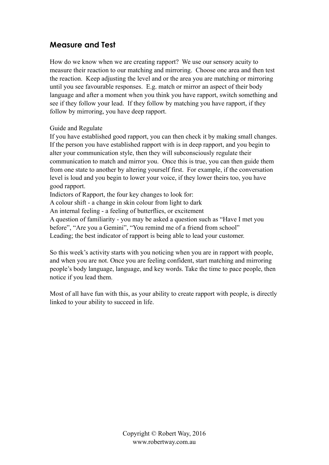#### **Measure and Test**

How do we know when we are creating rapport? We use our sensory acuity to measure their reaction to our matching and mirroring. Choose one area and then test the reaction. Keep adjusting the level and or the area you are matching or mirroring until you see favourable responses. E.g. match or mirror an aspect of their body language and after a moment when you think you have rapport, switch something and see if they follow your lead. If they follow by matching you have rapport, if they follow by mirroring, you have deep rapport.

#### Guide and Regulate

If you have established good rapport, you can then check it by making small changes. If the person you have established rapport with is in deep rapport, and you begin to alter your communication style, then they will subconsciously regulate their communication to match and mirror you. Once this is true, you can then guide them from one state to another by altering yourself first. For example, if the conversation level is loud and you begin to lower your voice, if they lower theirs too, you have good rapport.

Indictors of Rapport, the four key changes to look for:

A colour shift - a change in skin colour from light to dark

An internal feeling - a feeling of butterflies, or excitement

A question of familiarity - you may be asked a question such as "Have I met you before", "Are you a Gemini", "You remind me of a friend from school" Leading; the best indicator of rapport is being able to lead your customer.

So this week's activity starts with you noticing when you are in rapport with people, and when you are not. Once you are feeling confident, start matching and mirroring people's body language, language, and key words. Take the time to pace people, then notice if you lead them.

Most of all have fun with this, as your ability to create rapport with people, is directly linked to your ability to succeed in life.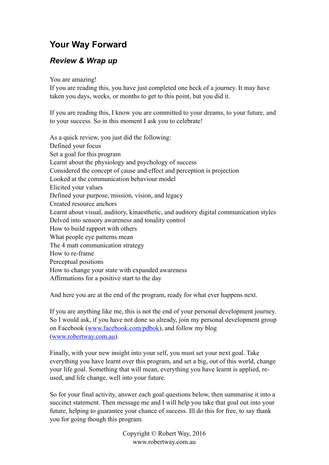## **Your Way Forward**

#### *Review & Wrap up*

You are amazing!

If you are reading this, you have just completed one heck of a journey. It may have taken you days, weeks, or months to get to this point, but you did it.

If you are reading this, I know you are committed to your dreams, to your future, and to your success. So in this moment I ask you to celebrate!

As a quick review, you just did the following: Defined your focus Set a goal for this program Learnt about the physiology and psychology of success Considered the concept of cause and effect and perception is projection Looked at the communication behaviour model Elicited your values Defined your purpose, mission, vision, and legacy Created resource anchors Learnt about visual, auditory, kinaesthetic, and auditory digital communication styles Delved into sensory awareness and tonality control How to build rapport with others What people eye patterns mean The 4 matt communication strategy How to re-frame Perceptual positions How to change your state with expanded awareness Affirmations for a positive start to the day

And here you are at the end of the program, ready for what ever happens next.

If you are anything like me, this is not the end of your personal development journey. So I would ask, if you have not done so already, join my personal development group on Facebook ([www.facebook.com/pdbok\)](http://www.facebook.com/pdbok), and follow my blog ([www.robertway.com.au](http://www.robertway.com.au)).

Finally, with your new insight into your self, you must set your next goal. Take everything you have learnt over this program, and set a big, out of this world, change your life goal. Something that will mean, everything you have learnt is applied, reused, and life change, well into your future.

So for your final activity, answer each goal questions below, then summarise it into a succinct statement. Then message me and I will help you take that goal out into your future, helping to guarantee your chance of success. Ill do this for free, to say thank you for going though this program.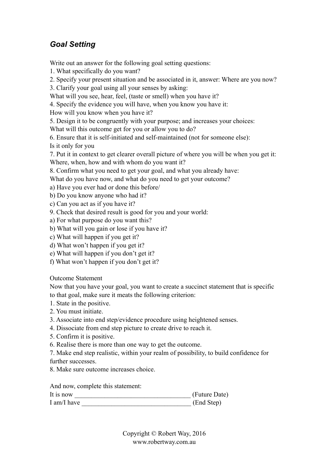## *Goal Setting*

Write out an answer for the following goal setting questions:

1. What specifically do you want?

2. Specify your present situation and be associated in it, answer: Where are you now?

3. Clarify your goal using all your senses by asking:

What will you see, hear, feel, (taste or smell) when you have it?

4. Specify the evidence you will have, when you know you have it:

How will you know when you have it?

5. Design it to be congruently with your purpose; and increases your choices:

What will this outcome get for you or allow you to do?

6. Ensure that it is self-initiated and self-maintained (not for someone else):

Is it only for you

7. Put it in context to get clearer overall picture of where you will be when you get it:

Where, when, how and with whom do you want it?

8. Confirm what you need to get your goal, and what you already have:

What do you have now, and what do you need to get your outcome?

a) Have you ever had or done this before/

b) Do you know anyone who had it?

c) Can you act as if you have it?

9. Check that desired result is good for you and your world:

a) For what purpose do you want this?

b) What will you gain or lose if you have it?

c) What will happen if you get it?

d) What won't happen if you get it?

e) What will happen if you don't get it?

f) What won't happen if you don't get it?

Outcome Statement

Now that you have your goal, you want to create a succinct statement that is specific to that goal, make sure it meats the following criterion:

- 1. State in the positive.
- 2. You must initiate.
- 3. Associate into end step/evidence procedure using heightened senses.
- 4. Dissociate from end step picture to create drive to reach it.
- 5. Confirm it is positive.
- 6. Realise there is more than one way to get the outcome.

7. Make end step realistic, within your realm of possibility, to build confidence for further successes.

8. Make sure outcome increases choice.

And now, complete this statement:

| It is now   | (Future Date) |
|-------------|---------------|
| I am/I have | (End Step)    |